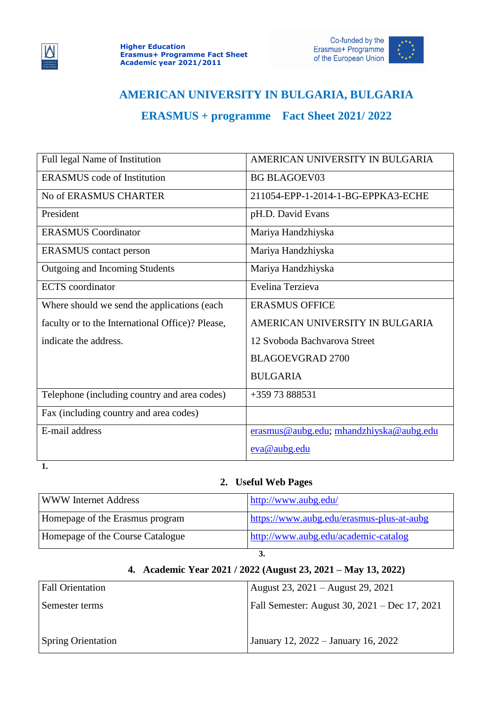



## **AMERICAN UNIVERSITY IN BULGARIA, BULGARIA**

## **ERASMUS + programme Fact Sheet 2021/ 2022**

| Full legal Name of Institution                   | AMERICAN UNIVERSITY IN BULGARIA         |
|--------------------------------------------------|-----------------------------------------|
| <b>ERASMUS</b> code of Institution               | <b>BG BLAGOEV03</b>                     |
| No of ERASMUS CHARTER                            | 211054-EPP-1-2014-1-BG-EPPKA3-ECHE      |
| President                                        | pH.D. David Evans                       |
| <b>ERASMUS Coordinator</b>                       | Mariya Handzhiyska                      |
| <b>ERASMUS</b> contact person                    | Mariya Handzhiyska                      |
| Outgoing and Incoming Students                   | Mariya Handzhiyska                      |
| <b>ECTS</b> coordinator                          | Evelina Terzieva                        |
| Where should we send the applications (each)     | <b>ERASMUS OFFICE</b>                   |
| faculty or to the International Office)? Please, | AMERICAN UNIVERSITY IN BULGARIA         |
| indicate the address.                            | 12 Svoboda Bachyarova Street            |
|                                                  | <b>BLAGOEVGRAD 2700</b>                 |
|                                                  | <b>BULGARIA</b>                         |
| Telephone (including country and area codes)     | +359 73 888531                          |
| Fax (including country and area codes)           |                                         |
| E-mail address                                   | erasmus@aubg.edu; mhandzhiyska@aubg.edu |
|                                                  | eva@aubg.edu                            |

**1.**

## **2. Useful Web Pages**

| <b>WWW Internet Address</b>      | http://www.aubg.edu/                      |
|----------------------------------|-------------------------------------------|
| Homepage of the Erasmus program  | https://www.aubg.edu/erasmus-plus-at-aubg |
| Homepage of the Course Catalogue | http://www.aubg.edu/academic-catalog      |
| J.                               |                                           |

## **4. Academic Year 2021 / 2022 (August 23, 2021 – May 13, 2022)**

| <b>Fall Orientation</b>   | August 23, 2021 – August 29, 2021             |
|---------------------------|-----------------------------------------------|
| Semester terms            | Fall Semester: August 30, 2021 – Dec 17, 2021 |
|                           |                                               |
| <b>Spring Orientation</b> | January 12, 2022 – January 16, 2022           |